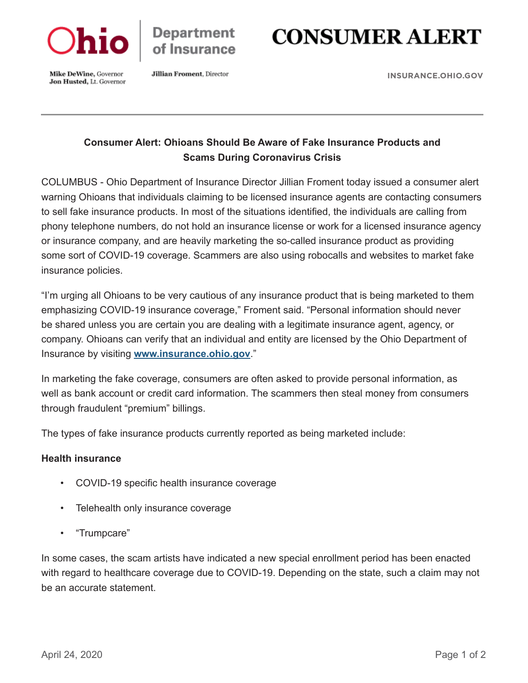

**Department** of Insurance

# **CONSUMER ALERT**

Mike DeWine, Governor Jon Husted, Lt. Governor **Jillian Froment**, Director

**[INSURANCE.OHIO.GOV](https://insurance.ohio.gov/wps/portal/gov/odi)**

# **Consumer Alert: Ohioans Should Be Aware of Fake Insurance Products and Scams During Coronavirus Crisis**

COLUMBUS - Ohio Department of Insurance Director Jillian Froment today issued a consumer alert warning Ohioans that individuals claiming to be licensed insurance agents are contacting consumers to sell fake insurance products. In most of the situations identified, the individuals are calling from phony telephone numbers, do not hold an insurance license or work for a licensed insurance agency or insurance company, and are heavily marketing the so-called insurance product as providing some sort of COVID-19 coverage. Scammers are also using robocalls and websites to market fake insurance policies.

"I'm urging all Ohioans to be very cautious of any insurance product that is being marketed to them emphasizing COVID-19 insurance coverage," Froment said. "Personal information should never be shared unless you are certain you are dealing with a legitimate insurance agent, agency, or company. Ohioans can verify that an individual and entity are licensed by the Ohio Department of Insurance by visiting **[www.insurance.ohio.gov](https://insurance.ohio.gov/wps/portal/gov/odi)**."

In marketing the fake coverage, consumers are often asked to provide personal information, as well as bank account or credit card information. The scammers then steal money from consumers through fraudulent "premium" billings.

The types of fake insurance products currently reported as being marketed include:

### **Health insurance**

- COVID-19 specific health insurance coverage
- Telehealth only insurance coverage
- "Trumpcare"

In some cases, the scam artists have indicated a new special enrollment period has been enacted with regard to healthcare coverage due to COVID-19. Depending on the state, such a claim may not be an accurate statement.